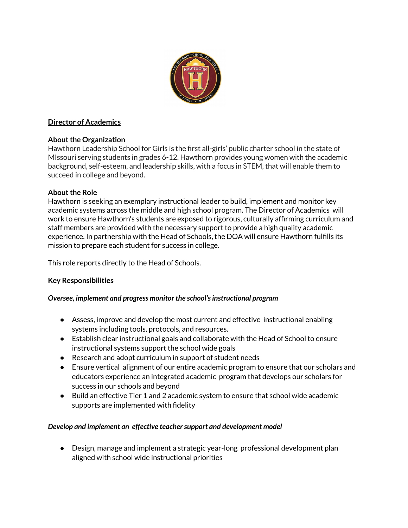

# **Director of Academics**

### **About the Organization**

Hawthorn Leadership School for Girls is the first all-girls' public charter school in the state of MIssouri serving students in grades 6-12. Hawthorn provides young women with the academic background, self-esteem, and leadership skills, with a focus in STEM, that will enable them to succeed in college and beyond.

# **About the Role**

Hawthorn is seeking an exemplary instructional leader to build, implement and monitor key academic systems across the middle and high school program. The Director of Academics will work to ensure Hawthorn's students are exposed to rigorous, culturally affirming curriculum and staff members are provided with the necessary support to provide a high quality academic experience. In partnership with the Head of Schools, the DOA will ensure Hawthorn fulfills its mission to prepare each student for success in college.

This role reports directly to the Head of Schools.

### **Key Responsibilities**

### *Oversee, implement and progress monitor the school'sinstructional program*

- Assess, improve and develop the most current and effective instructional enabling systems including tools, protocols, and resources.
- Establish clear instructional goals and collaborate with the Head of School to ensure instructional systems support the school wide goals
- Research and adopt curriculum in support of student needs
- Ensure vertical alignment of our entire academic program to ensure that our scholars and educators experience an integrated academic program that develops our scholars for success in our schools and beyond
- Build an effective Tier 1 and 2 academic system to ensure that school wide academic supports are implemented with fidelity

### *Develop and implement an effective teachersupport and development model*

● Design, manage and implement a strategic year-long professional development plan aligned with school wide instructional priorities